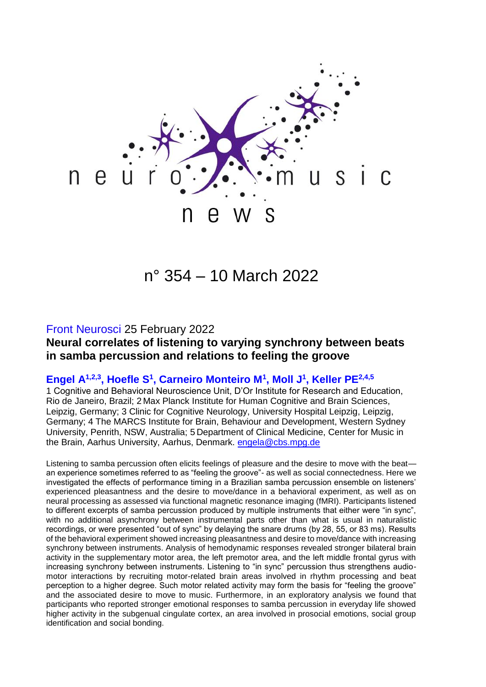

n° 354 – 10 March 2022

#### Front Neurosci 25 February 2022

## **Neural correlates of listening to varying synchrony between beats in samba percussion and relations to feeling the groove**

## **Engel A1,2,3, Hoefle S<sup>1</sup> , Carneiro Monteiro M<sup>1</sup> , Moll J 1 , Keller PE2,4,5**

1 Cognitive and Behavioral Neuroscience Unit, D'Or Institute for Research and Education, Rio de Janeiro, Brazil; 2 Max Planck Institute for Human Cognitive and Brain Sciences, Leipzig, Germany; 3 Clinic for Cognitive Neurology, University Hospital Leipzig, Leipzig, Germany; 4 The MARCS Institute for Brain, Behaviour and Development, Western Sydney University, Penrith, NSW, Australia; 5 Department of Clinical Medicine, Center for Music in the Brain, Aarhus University, Aarhus, Denmark. [engela@cbs.mpg.de](mailto:engela@cbs.mpg.de)

Listening to samba percussion often elicits feelings of pleasure and the desire to move with the beat an experience sometimes referred to as "feeling the groove"- as well as social connectedness. Here we investigated the effects of performance timing in a Brazilian samba percussion ensemble on listeners' experienced pleasantness and the desire to move/dance in a behavioral experiment, as well as on neural processing as assessed via functional magnetic resonance imaging (fMRI). Participants listened to different excerpts of samba percussion produced by multiple instruments that either were "in sync", with no additional asynchrony between instrumental parts other than what is usual in naturalistic recordings, or were presented "out of sync" by delaying the snare drums (by 28, 55, or 83 ms). Results of the behavioral experiment showed increasing pleasantness and desire to move/dance with increasing synchrony between instruments. Analysis of hemodynamic responses revealed stronger bilateral brain activity in the supplementary motor area, the left premotor area, and the left middle frontal gyrus with increasing synchrony between instruments. Listening to "in sync" percussion thus strengthens audiomotor interactions by recruiting motor-related brain areas involved in rhythm processing and beat perception to a higher degree. Such motor related activity may form the basis for "feeling the groove" and the associated desire to move to music. Furthermore, in an exploratory analysis we found that participants who reported stronger emotional responses to samba percussion in everyday life showed higher activity in the subgenual cingulate cortex, an area involved in prosocial emotions, social group identification and social bonding.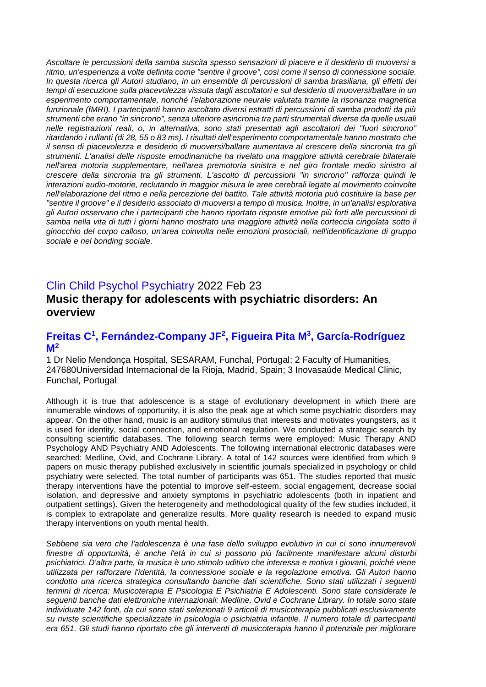*Ascoltare le percussioni della samba suscita spesso sensazioni di piacere e il desiderio di muoversi a ritmo, un'esperienza a volte definita come "sentire il groove", così come il senso di connessione sociale. In questa ricerca gli Autori studiano, in un ensemble di percussioni di samba brasiliana, gli effetti dei tempi di esecuzione sulla piacevolezza vissuta dagli ascoltatori e sul desiderio di muoversi/ballare in un esperimento comportamentale, nonché l'elaborazione neurale valutata tramite la risonanza magnetica funzionale (fMRI). I partecipanti hanno ascoltato diversi estratti di percussioni di samba prodotti da più strumenti che erano "in sincrono", senza ulteriore asincronia tra parti strumentali diverse da quelle usuali nelle registrazioni reali, o, in alternativa, sono stati presentati agli ascoltatori dei "fuori sincrono" ritardando i rullanti (di 28, 55 o 83 ms). I risultati dell'esperimento comportamentale hanno mostrato che il senso di piacevolezza e desiderio di muoversi/ballare aumentava al crescere della sincronia tra gli strumenti. L'analisi delle risposte emodinamiche ha rivelato una maggiore attività cerebrale bilaterale nell'area motoria supplementare, nell'area premotoria sinistra e nel giro frontale medio sinistro al crescere della sincronia tra gli strumenti. L'ascolto di percussioni "in sincrono" rafforza quindi le interazioni audio-motorie, reclutando in maggior misura le aree cerebrali legate al movimento coinvolte nell'elaborazione del ritmo e nella percezione del battito. Tale attività motoria può costituire la base per "sentire il groove" e il desiderio associato di muoversi a tempo di musica. Inoltre, in un'analisi esplorativa gli Autori osservano che i partecipanti che hanno riportato risposte emotive più forti alle percussioni di*  samba nella vita di tutti i giorni hanno mostrato una maggiore attività nella corteccia cingolata sotto il *ginocchio del corpo calloso, un'area coinvolta nelle emozioni prosociali, nell'identificazione di gruppo sociale e nel bonding sociale.*

#### Clin Child Psychol Psychiatry 2022 Feb 23

#### **Music therapy for adolescents with psychiatric disorders: An overview**

#### **Freitas C<sup>1</sup> , Fernández-Company JF<sup>2</sup> , Figueira Pita M<sup>3</sup> , García-Rodríguez M<sup>2</sup>**

1 Dr Nelio Mendonça Hospital, SESARAM, Funchal, Portugal; 2 Faculty of Humanities, 247680Universidad Internacional de la Rioja, Madrid, Spain; 3 Inovasaúde Medical Clinic, Funchal, Portugal

Although it is true that adolescence is a stage of evolutionary development in which there are innumerable windows of opportunity, it is also the peak age at which some psychiatric disorders may appear. On the other hand, music is an auditory stimulus that interests and motivates youngsters, as it is used for identity, social connection, and emotional regulation. We conducted a strategic search by consulting scientific databases. The following search terms were employed: Music Therapy AND Psychology AND Psychiatry AND Adolescents. The following international electronic databases were searched: Medline, Ovid, and Cochrane Library. A total of 142 sources were identified from which 9 papers on music therapy published exclusively in scientific journals specialized in psychology or child psychiatry were selected. The total number of participants was 651. The studies reported that music therapy interventions have the potential to improve self-esteem, social engagement, decrease social isolation, and depressive and anxiety symptoms in psychiatric adolescents (both in inpatient and outpatient settings). Given the heterogeneity and methodological quality of the few studies included, it is complex to extrapolate and generalize results. More quality research is needed to expand music therapy interventions on youth mental health.

*Sebbene sia vero che l'adolescenza è una fase dello sviluppo evolutivo in cui ci sono innumerevoli finestre di opportunità, è anche l'età in cui si possono più facilmente manifestare alcuni disturbi psichiatrici. D'altra parte, la musica è uno stimolo uditivo che interessa e motiva i giovani, poiché viene utilizzata per rafforzare l'identità, la connessione sociale e la regolazione emotiva. Gli Autori hanno condotto una ricerca strategica consultando banche dati scientifiche. Sono stati utilizzati i seguenti termini di ricerca: Musicoterapia E Psicologia E Psichiatria E Adolescenti. Sono state considerate le seguenti banche dati elettroniche internazionali: Medline, Ovid e Cochrane Library. In totale sono state individuate 142 fonti, da cui sono stati selezionati 9 articoli di musicoterapia pubblicati esclusivamente su riviste scientifiche specializzate in psicologia o psichiatria infantile. Il numero totale di partecipanti era 651. Gli studi hanno riportato che gli interventi di musicoterapia hanno il potenziale per migliorare*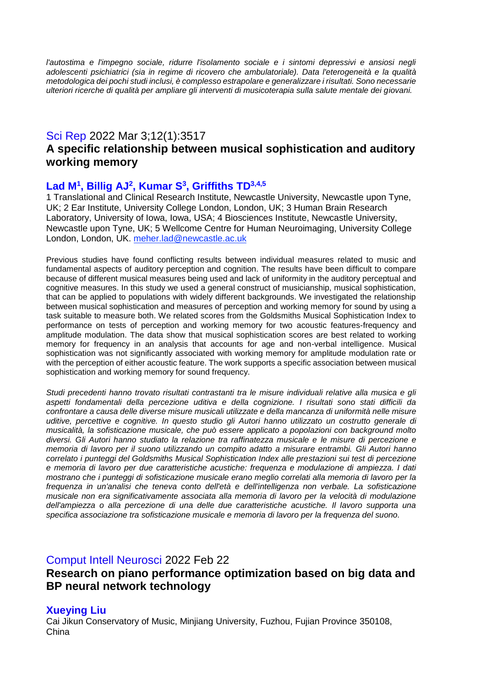*l'autostima e l'impegno sociale, ridurre l'isolamento sociale e i sintomi depressivi e ansiosi negli adolescenti psichiatrici (sia in regime di ricovero che ambulatoriale). Data l'eterogeneità e la qualità metodologica dei pochi studi inclusi, è complesso estrapolare e generalizzare i risultati. Sono necessarie ulteriori ricerche di qualità per ampliare gli interventi di musicoterapia sulla salute mentale dei giovani.*

## Sci Rep 2022 Mar 3;12(1):3517

# **A specific relationship between musical sophistication and auditory working memory**

## **Lad M<sup>1</sup> , Billig AJ<sup>2</sup> , Kumar S 3 , Griffiths TD3,4,5**

1 Translational and Clinical Research Institute, Newcastle University, Newcastle upon Tyne, UK; 2 Ear Institute, University College London, London, UK; 3 Human Brain Research Laboratory, University of Iowa, Iowa, USA; 4 Biosciences Institute, Newcastle University, Newcastle upon Tyne, UK; 5 Wellcome Centre for Human Neuroimaging, University College London, London, UK. [meher.lad@newcastle.ac.uk](mailto:meher.lad@newcastle.ac.uk)

Previous studies have found conflicting results between individual measures related to music and fundamental aspects of auditory perception and cognition. The results have been difficult to compare because of different musical measures being used and lack of uniformity in the auditory perceptual and cognitive measures. In this study we used a general construct of musicianship, musical sophistication, that can be applied to populations with widely different backgrounds. We investigated the relationship between musical sophistication and measures of perception and working memory for sound by using a task suitable to measure both. We related scores from the Goldsmiths Musical Sophistication Index to performance on tests of perception and working memory for two acoustic features-frequency and amplitude modulation. The data show that musical sophistication scores are best related to working memory for frequency in an analysis that accounts for age and non-verbal intelligence. Musical sophistication was not significantly associated with working memory for amplitude modulation rate or with the perception of either acoustic feature. The work supports a specific association between musical sophistication and working memory for sound frequency.

*Studi precedenti hanno trovato risultati contrastanti tra le misure individuali relative alla musica e gli aspetti fondamentali della percezione uditiva e della cognizione. I risultati sono stati difficili da confrontare a causa delle diverse misure musicali utilizzate e della mancanza di uniformità nelle misure uditive, percettive e cognitive. In questo studio gli Autori hanno utilizzato un costrutto generale di musicalità, la sofisticazione musicale, che può essere applicato a popolazioni con background molto diversi. Gli Autori hanno studiato la relazione tra raffinatezza musicale e le misure di percezione e memoria di lavoro per il suono utilizzando un compito adatto a misurare entrambi. Gli Autori hanno correlato i punteggi del Goldsmiths Musical Sophistication Index alle prestazioni sui test di percezione e memoria di lavoro per due caratteristiche acustiche: frequenza e modulazione di ampiezza. I dati mostrano che i punteggi di sofisticazione musicale erano meglio correlati alla memoria di lavoro per la frequenza in un'analisi che teneva conto dell'età e dell'intelligenza non verbale. La sofisticazione musicale non era significativamente associata alla memoria di lavoro per la velocità di modulazione dell'ampiezza o alla percezione di una delle due caratteristiche acustiche. Il lavoro supporta una specifica associazione tra sofisticazione musicale e memoria di lavoro per la frequenza del suono.*

# Comput Intell Neurosci 2022 Feb 22 **Research on piano performance optimization based on big data and BP neural network technology**

## **[Xueying Liu](https://pubmed.ncbi.nlm.nih.gov/?sort=date&term=Liu+X&cauthor_id=35242175)**

Cai Jikun Conservatory of Music, Minjiang University, Fuzhou, Fujian Province 350108, China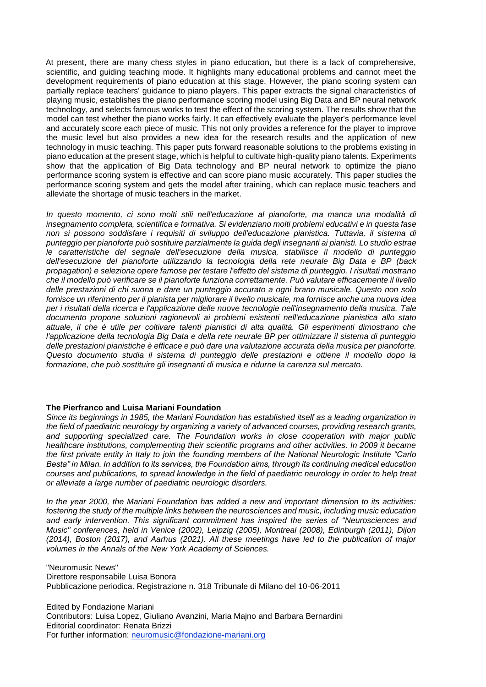At present, there are many chess styles in piano education, but there is a lack of comprehensive, scientific, and guiding teaching mode. It highlights many educational problems and cannot meet the development requirements of piano education at this stage. However, the piano scoring system can partially replace teachers' guidance to piano players. This paper extracts the signal characteristics of playing music, establishes the piano performance scoring model using Big Data and BP neural network technology, and selects famous works to test the effect of the scoring system. The results show that the model can test whether the piano works fairly. It can effectively evaluate the player's performance level and accurately score each piece of music. This not only provides a reference for the player to improve the music level but also provides a new idea for the research results and the application of new technology in music teaching. This paper puts forward reasonable solutions to the problems existing in piano education at the present stage, which is helpful to cultivate high-quality piano talents. Experiments show that the application of Big Data technology and BP neural network to optimize the piano performance scoring system is effective and can score piano music accurately. This paper studies the performance scoring system and gets the model after training, which can replace music teachers and alleviate the shortage of music teachers in the market.

*In questo momento, ci sono molti stili nell'educazione al pianoforte, ma manca una modalità di insegnamento completa, scientifica e formativa. Si evidenziano molti problemi educativi e in questa fase non si possono soddisfare i requisiti di sviluppo dell'educazione pianistica. Tuttavia, il sistema di punteggio per pianoforte può sostituire parzialmente la guida degli insegnanti ai pianisti. Lo studio estrae le caratteristiche del segnale dell'esecuzione della musica, stabilisce il modello di punteggio dell'esecuzione del pianoforte utilizzando la tecnologia della rete neurale Big Data e BP (back propagation) e seleziona opere famose per testare l'effetto del sistema di punteggio. I risultati mostrano che il modello può verificare se il pianoforte funziona correttamente. Può valutare efficacemente il livello delle prestazioni di chi suona e dare un punteggio accurato a ogni brano musicale. Questo non solo fornisce un riferimento per il pianista per migliorare il livello musicale, ma fornisce anche una nuova idea per i risultati della ricerca e l'applicazione delle nuove tecnologie nell'insegnamento della musica. Tale documento propone soluzioni ragionevoli ai problemi esistenti nell'educazione pianistica allo stato attuale, il che è utile per coltivare talenti pianistici di alta qualità. Gli esperimenti dimostrano che l'applicazione della tecnologia Big Data e della rete neurale BP per ottimizzare il sistema di punteggio delle prestazioni pianistiche è efficace e può dare una valutazione accurata della musica per pianoforte. Questo documento studia il sistema di punteggio delle prestazioni e ottiene il modello dopo la formazione, che può sostituire gli insegnanti di musica e ridurne la carenza sul mercato.*

#### **The Pierfranco and Luisa Mariani Foundation**

*Since its beginnings in 1985, the Mariani Foundation has established itself as a leading organization in the field of paediatric neurology by organizing a variety of advanced courses, providing research grants, and supporting specialized care. The Foundation works in close cooperation with major public healthcare institutions, complementing their scientific programs and other activities. In 2009 it became the first private entity in Italy to join the founding members of the National Neurologic Institute "Carlo Besta" in Milan. In addition to its services, the Foundation aims, through its continuing medical education courses and publications, to spread knowledge in the field of paediatric neurology in order to help treat or alleviate a large number of paediatric neurologic disorders.*

*In the year 2000, the Mariani Foundation has added a new and important dimension to its activities: fostering the study of the multiple links between the neurosciences and music, including music education and early intervention. This significant commitment has inspired the series of "Neurosciences and Music" conferences, held in Venice (2002), Leipzig (2005), Montreal (2008), Edinburgh (2011), Dijon (2014), Boston (2017), and Aarhus (2021). All these meetings have led to the publication of major volumes in the Annals of the New York Academy of Sciences.*

"Neuromusic News" Direttore responsabile Luisa Bonora Pubblicazione periodica. Registrazione n. 318 Tribunale di Milano del 10-06-2011

Edited by Fondazione Mariani Contributors: Luisa Lopez, Giuliano Avanzini, Maria Majno and Barbara Bernardini Editorial coordinator: Renata Brizzi For further information: [neuromusic@fondazione-mariani.org](mailto:neuromusic@fondazione-mariani.org)